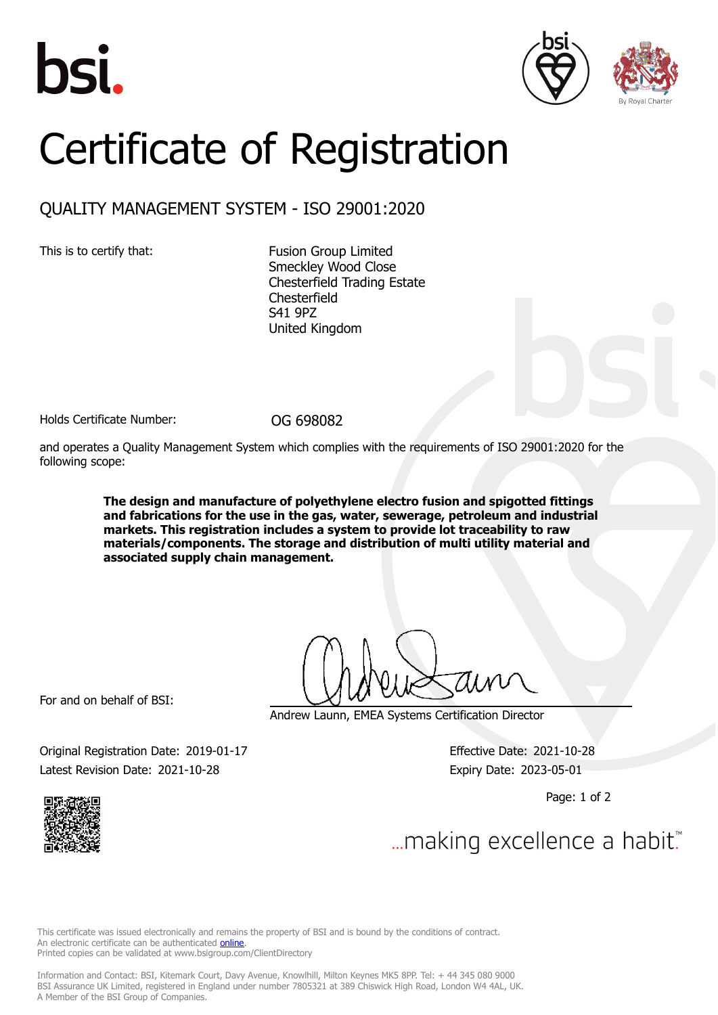





## Certificate of Registration

## QUALITY MANAGEMENT SYSTEM - ISO 29001:2020

This is to certify that: Fusion Group Limited Smeckley Wood Close Chesterfield Trading Estate **Chesterfield** S41 9PZ United Kingdom

Holds Certificate Number: 0G 698082

and operates a Quality Management System which complies with the requirements of ISO 29001:2020 for the following scope:

> **The design and manufacture of polyethylene electro fusion and spigotted fittings and fabrications for the use in the gas, water, sewerage, petroleum and industrial markets. This registration includes a system to provide lot traceability to raw materials/components. The storage and distribution of multi utility material and associated supply chain management.**

For and on behalf of BSI:

Andrew Launn, EMEA Systems Certification Director

Original Registration Date: 2019-01-17 Effective Date: 2021-10-28 Latest Revision Date: 2021-10-28 Expiry Date: 2023-05-01

Page: 1 of 2



... making excellence a habit.

This certificate was issued electronically and remains the property of BSI and is bound by the conditions of contract. An electronic certificate can be authenticated **[online](https://pgplus.bsigroup.com/CertificateValidation/CertificateValidator.aspx?CertificateNumber=OG+698082&ReIssueDate=28%2f10%2f2021&Template=uk)**. Printed copies can be validated at www.bsigroup.com/ClientDirectory

Information and Contact: BSI, Kitemark Court, Davy Avenue, Knowlhill, Milton Keynes MK5 8PP. Tel: + 44 345 080 9000 BSI Assurance UK Limited, registered in England under number 7805321 at 389 Chiswick High Road, London W4 4AL, UK. A Member of the BSI Group of Companies.